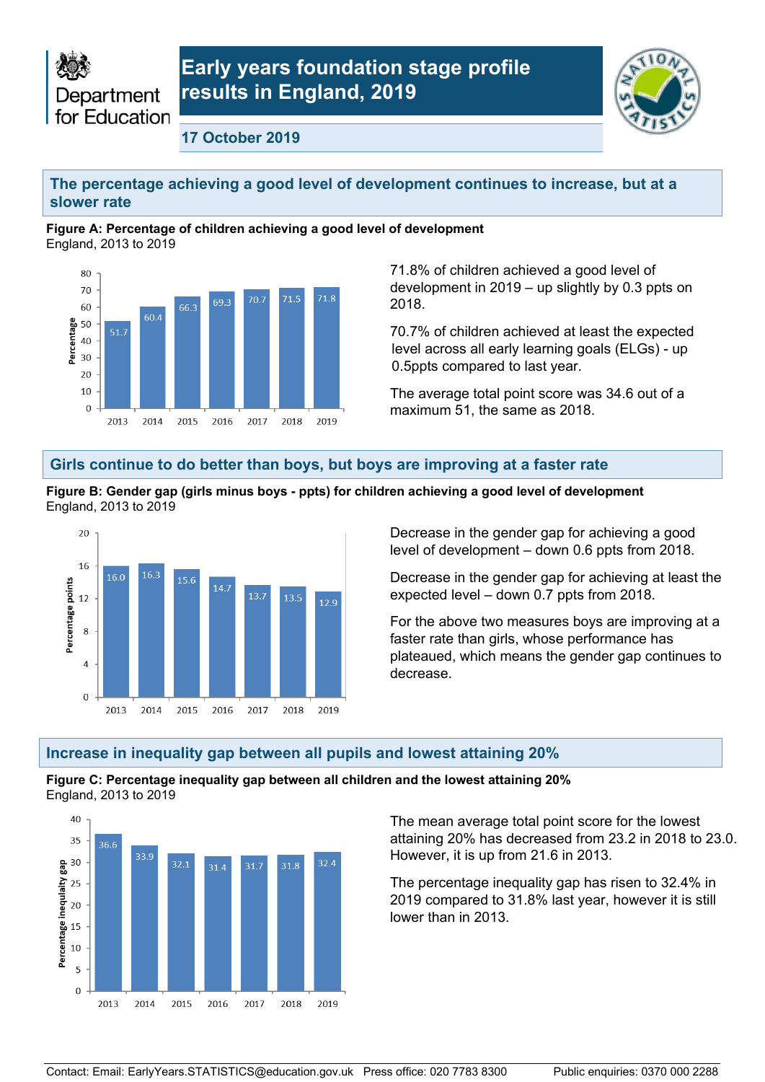



**17 October 2019** 

### **The percentage achieving a good level of development continues to increase, but at a slower rate**

#### **Figure A: Percentage of children achieving a good level of development**  England, 2013 to 2019



 development in 2019 – up slightly by 0.3 ppts on 71.8% of children achieved a good level of 2018.

 level across all early learning goals (ELGs) - up 70.7% of children achieved at least the expected 0.5ppts compared to last year.

The average total point score was 34.6 out of a maximum 51, the same as 2018.

### **Girls continue to do better than boys, but boys are improving at a faster rate**



 **Figure B: Gender gap (girls minus boys - ppts) for children achieving a good level of development** England, 2013 to 2019

> Decrease in the gender gap for achieving a good level of development – down 0.6 ppts from 2018.

Decrease in the gender gap for achieving at least the expected level – down 0.7 ppts from 2018.

For the above two measures boys are improving at a faster rate than girls, whose performance has plateaued, which means the gender gap continues to decrease.

### **Increase in inequality gap between all pupils and lowest attaining 20%**

#### **Figure C: Percentage inequality gap between all children and the lowest attaining 20%**  England, 2013 to 2019



 However, it is up from 21.6 in 2013. The mean average total point score for the lowest attaining 20% has decreased from 23.2 in 2018 to 23.0.

 2019 compared to 31.8% last year, however it is still lower than in 2013. The percentage inequality gap has risen to 32.4% in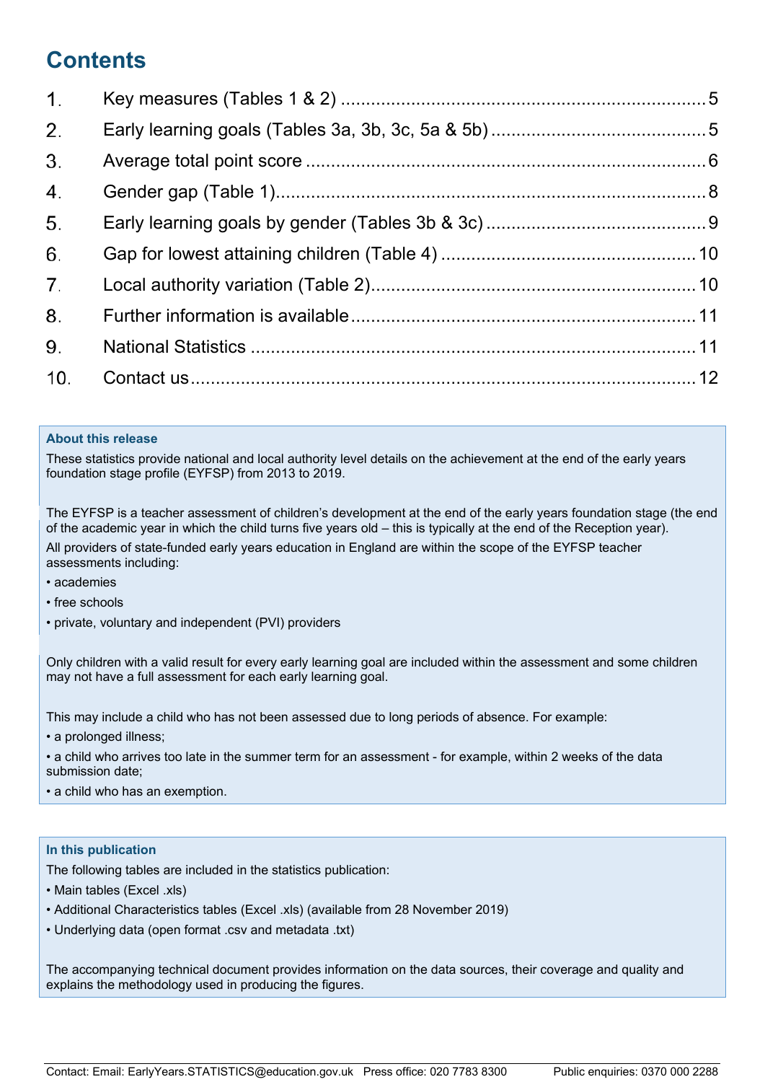# **Contents**

| 1 <sub>1</sub> |  |
|----------------|--|
| 2.             |  |
| 3.             |  |
| 4.             |  |
| 5.             |  |
| 6.             |  |
| 7 <sub>1</sub> |  |
| 8.             |  |
| 9.             |  |
| 10.            |  |

#### **About this release**

 These statistics provide national and local authority level details on the achievement at the end of the early years foundation stage profile (EYFSP) from 2013 to 2019.

 The EYFSP is a teacher assessment of children's development at the end of the early years foundation stage (the end of the academic year in which the child turns five years old – this is typically at the end of the Reception year). All providers of state-funded early years education in England are within the scope of the EYFSP teacher assessments including:

- academies
- free schools
- private, voluntary and independent (PVI) providers

 Only children with a valid result for every early learning goal are included within the assessment and some children may not have a full assessment for each early learning goal.

This may include a child who has not been assessed due to long periods of absence. For example:

- a prolonged illness;
- • a child who arrives too late in the summer term for an assessment for example, within 2 weeks of the data submission date;
- a child who has an exemption.

#### **In this publication**

The following tables are included in the statistics publication:

- Main tables (Excel .xls)
- Additional Characteristics tables (Excel .xls) (available from 28 November 2019)
- Underlying data (open format .csv and metadata .txt)

 The accompanying technical document provides information on the data sources, their coverage and quality and explains the methodology used in producing the figures.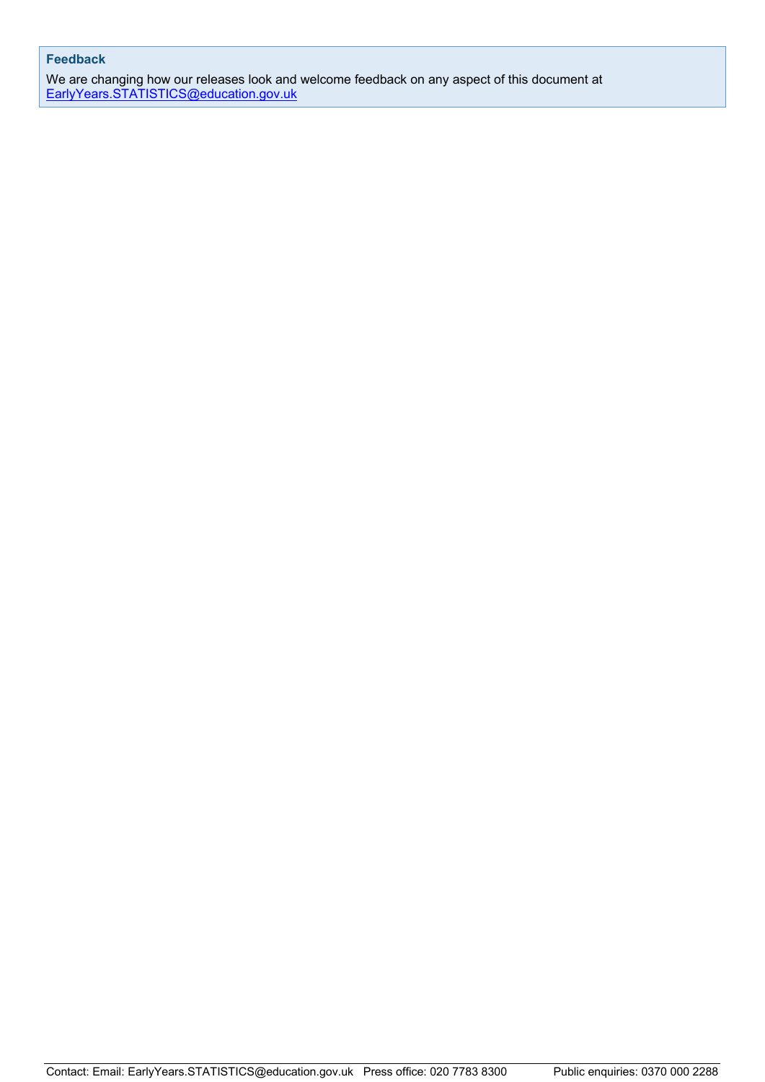### **Feedback**

 We are changing how our releases look and welcome feedback on any aspect of this document at [EarlyYears.STATISTICS@education.gov.uk](mailto:EarlyYears.STATISTICS@education.gov.uk)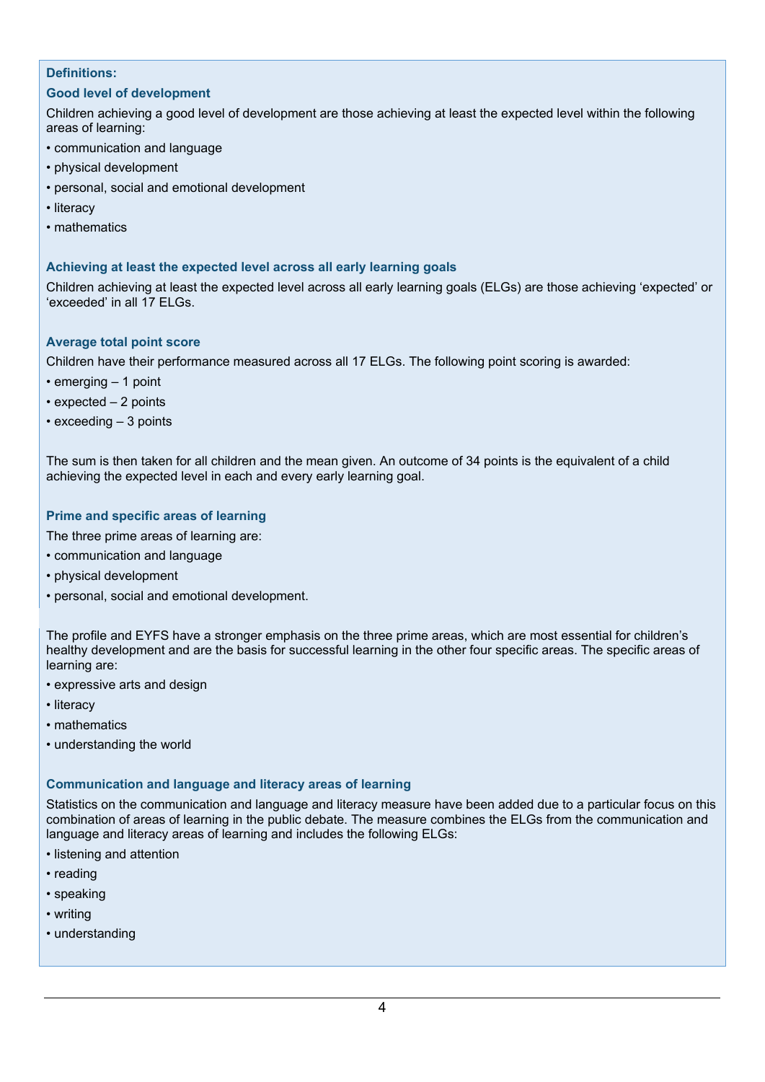### **Definitions:**

### **Good level of development**

 Children achieving a good level of development are those achieving at least the expected level within the following areas of learning:

- communication and language
- physical development
- personal, social and emotional development
- literacy
- mathematics

#### **Achieving at least the expected level across all early learning goals**

 Children achieving at least the expected level across all early learning goals (ELGs) are those achieving 'expected' or 'exceeded' in all 17 ELGs.

#### **Average total point score**

Children have their performance measured across all 17 ELGs. The following point scoring is awarded:

- emerging 1 point
- expected 2 points
- exceeding 3 points

 The sum is then taken for all children and the mean given. An outcome of 34 points is the equivalent of a child achieving the expected level in each and every early learning goal.

### **Prime and specific areas of learning**

The three prime areas of learning are:

- communication and language
- physical development
- personal, social and emotional development.

 The profile and EYFS have a stronger emphasis on the three prime areas, which are most essential for children's healthy development and are the basis for successful learning in the other four specific areas. The specific areas of learning are:

- expressive arts and design
- literacy
- mathematics
- understanding the world

### **Communication and language and literacy areas of learning**

 Statistics on the communication and language and literacy measure have been added due to a particular focus on this combination of areas of learning in the public debate. The measure combines the ELGs from the communication and language and literacy areas of learning and includes the following ELGs:

- listening and attention
- reading
- speaking
- writing
- understanding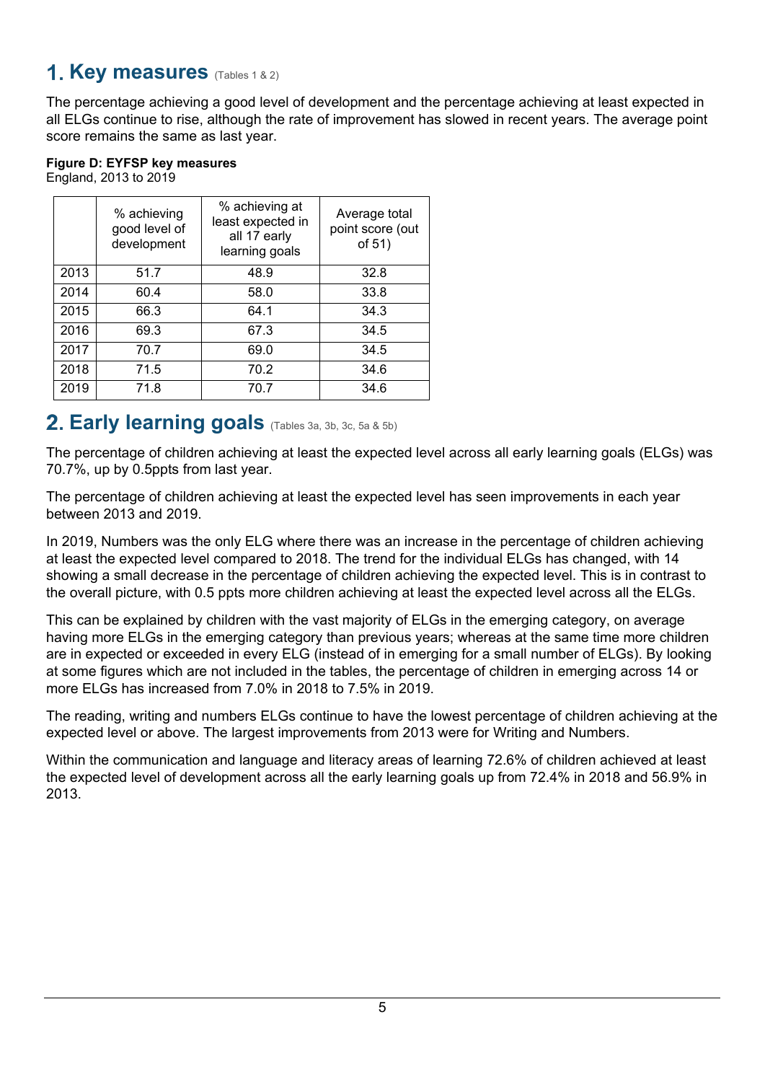## <span id="page-4-0"></span>**Key measures** (Tables 1 & 2)

 score remains the same as last year. The percentage achieving a good level of development and the percentage achieving at least expected in all ELGs continue to rise, although the rate of improvement has slowed in recent years. The average point

| Figure D: EYFSP key measures |  |
|------------------------------|--|
| England, 2013 to 2019        |  |

|      | % achieving<br>good level of<br>development | % achieving at<br>least expected in<br>all 17 early<br>learning goals | Average total<br>point score (out<br>of 51) |
|------|---------------------------------------------|-----------------------------------------------------------------------|---------------------------------------------|
| 2013 | 51.7                                        | 48.9                                                                  | 32.8                                        |
| 2014 | 60.4                                        | 58.0                                                                  | 33.8                                        |
| 2015 | 66.3                                        | 64.1                                                                  | 34.3                                        |
| 2016 | 69.3                                        | 67.3                                                                  | 34.5                                        |
| 2017 | 70.7                                        | 69.0                                                                  | 34.5                                        |
| 2018 | 71.5                                        | 70.2                                                                  | 34.6                                        |
| 2019 | 71.8                                        | 70.7                                                                  | 34.6                                        |

## <span id="page-4-1"></span> **Early learning goals** (Tables 3a, 3b, 3c, 5a & 5b)

 The percentage of children achieving at least the expected level across all early learning goals (ELGs) was 70.7%, up by 0.5ppts from last year.

 The percentage of children achieving at least the expected level has seen improvements in each year between 2013 and 2019.

In 2019, Numbers was the only ELG where there was an increase in the percentage of children achieving at least the expected level compared to 2018. The trend for the individual ELGs has changed, with 14 showing a small decrease in the percentage of children achieving the expected level. This is in contrast to the overall picture, with 0.5 ppts more children achieving at least the expected level across all the ELGs.

 at some figures which are not included in the tables, the percentage of children in emerging across 14 or more ELGs has increased from 7.0% in 2018 to 7.5% in 2019. This can be explained by children with the vast majority of ELGs in the emerging category, on average having more ELGs in the emerging category than previous years; whereas at the same time more children are in expected or exceeded in every ELG (instead of in emerging for a small number of ELGs). By looking

The reading, writing and numbers ELGs continue to have the lowest percentage of children achieving at the expected level or above. The largest improvements from 2013 were for Writing and Numbers.

Within the communication and language and literacy areas of learning 72.6% of children achieved at least the expected level of development across all the early learning goals up from 72.4% in 2018 and 56.9% in 2013.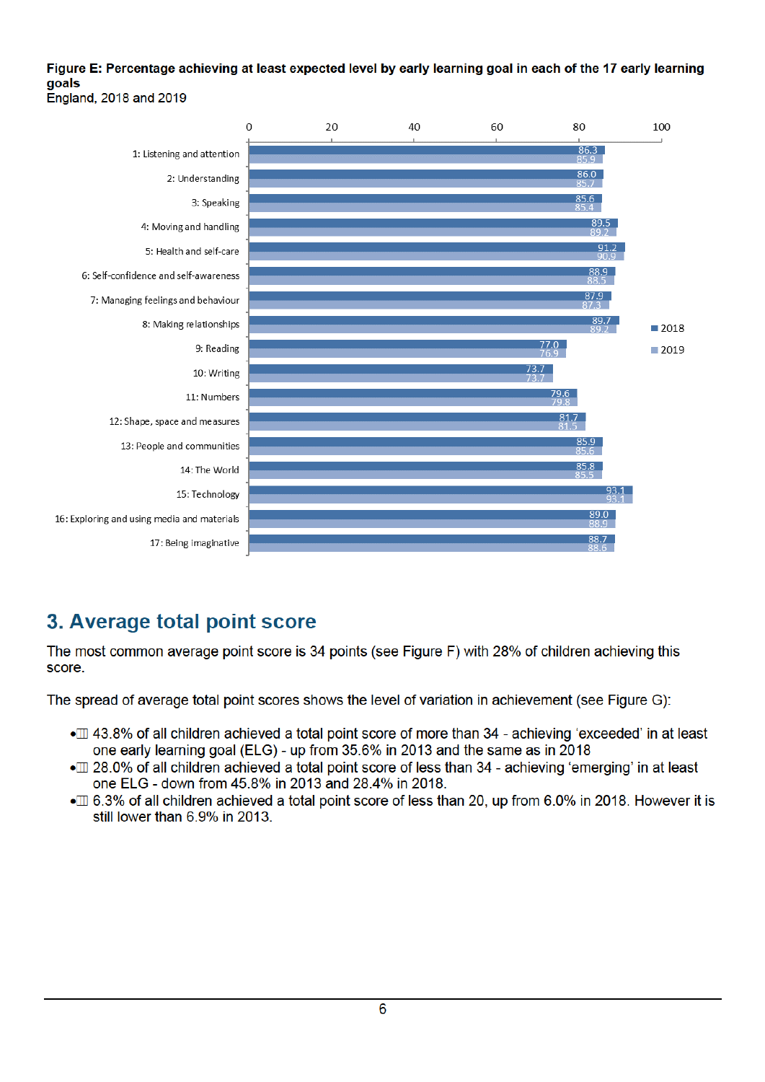#### Figure E: Percentage achieving at least expected level by early learning goal in each of the 17 early learning **goals** England, 2018 and 2019



## <span id="page-5-0"></span>3. Average total point score

The most common average point score is 34 points (see Figure F) with 28% of children achieving this score.

The spread of average total point scores shows the level of variation in achievement (see Figure G):

- $\bullet$  43.8% of all children achieved a total point score of more than 34 achieving 'exceeded' in at least one early learning goal (ELG) - up from 35.6% in 2013 and the same as in 2018
- $m$  28.0% of all children achieved a total point score of less than 34 achieving 'emerging' in at least one ELG - down from 45.8% in 2013 and 28.4% in 2018.
- $\bullet$   $\Box$  6.3% of all children achieved a total point score of less than 20, up from 6.0% in 2018. However it is still lower than  $6.9\%$  in 2013.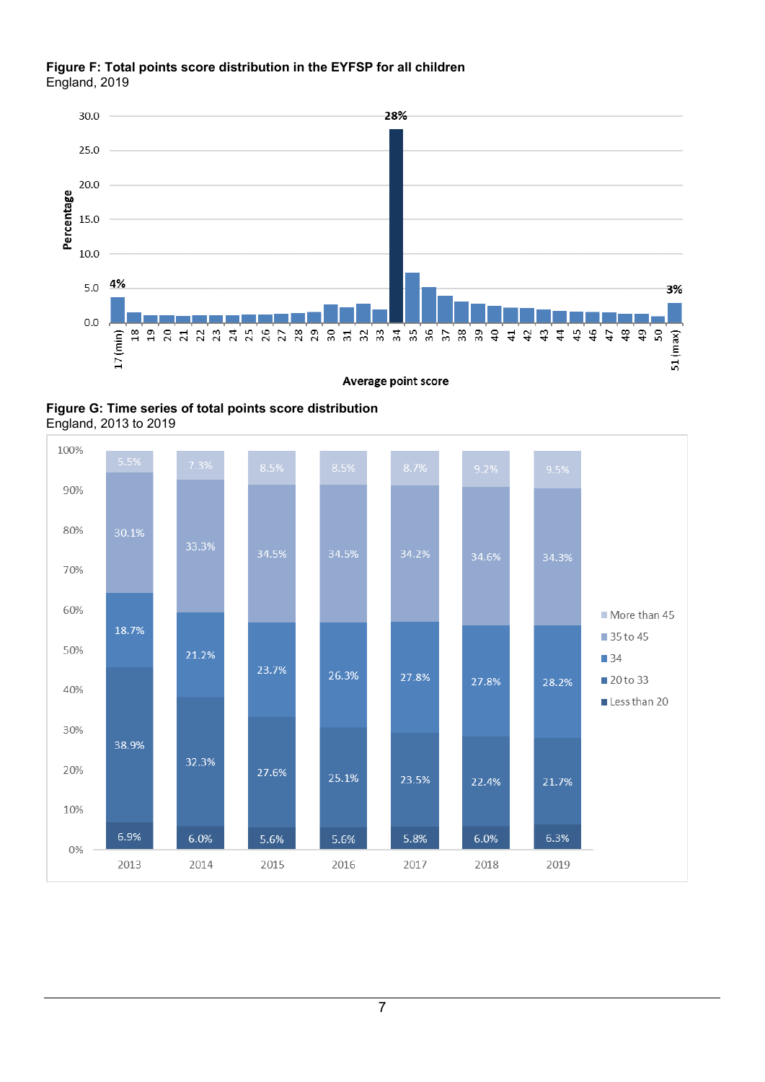### **Figure F: Total points score distribution in the EYFSP for all children**  England, 2019



 **Figure G: Time series of total points score distribution**  England, 2013 to 2019

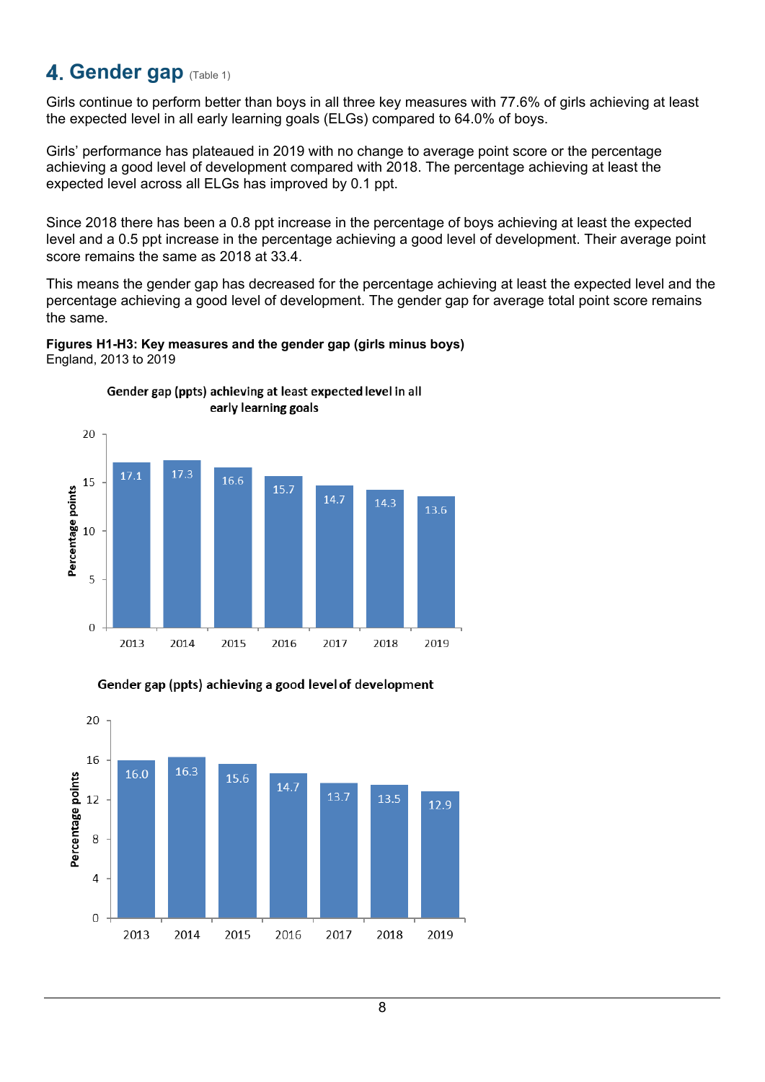## <span id="page-7-0"></span>**4. Gender gap (Table 1)**

Girls continue to perform better than boys in all three key measures with 77.6% of girls achieving at least the expected level in all early learning goals (ELGs) compared to 64.0% of boys.

Girls' performance has plateaued in 2019 with no change to average point score or the percentage achieving a good level of development compared with 2018. The percentage achieving at least the expected level across all ELGs has improved by 0.1 ppt.

Since 2018 there has been a 0.8 ppt increase in the percentage of boys achieving at least the expected level and a 0.5 ppt increase in the percentage achieving a good level of development. Their average point score remains the same as 2018 at 33.4.

This means the gender gap has decreased for the percentage achieving at least the expected level and the percentage achieving a good level of development. The gender gap for average total point score remains the same.

### **Figures H1-H3: Key measures and the gender gap (girls minus boys)** England, 2013 to 2019







8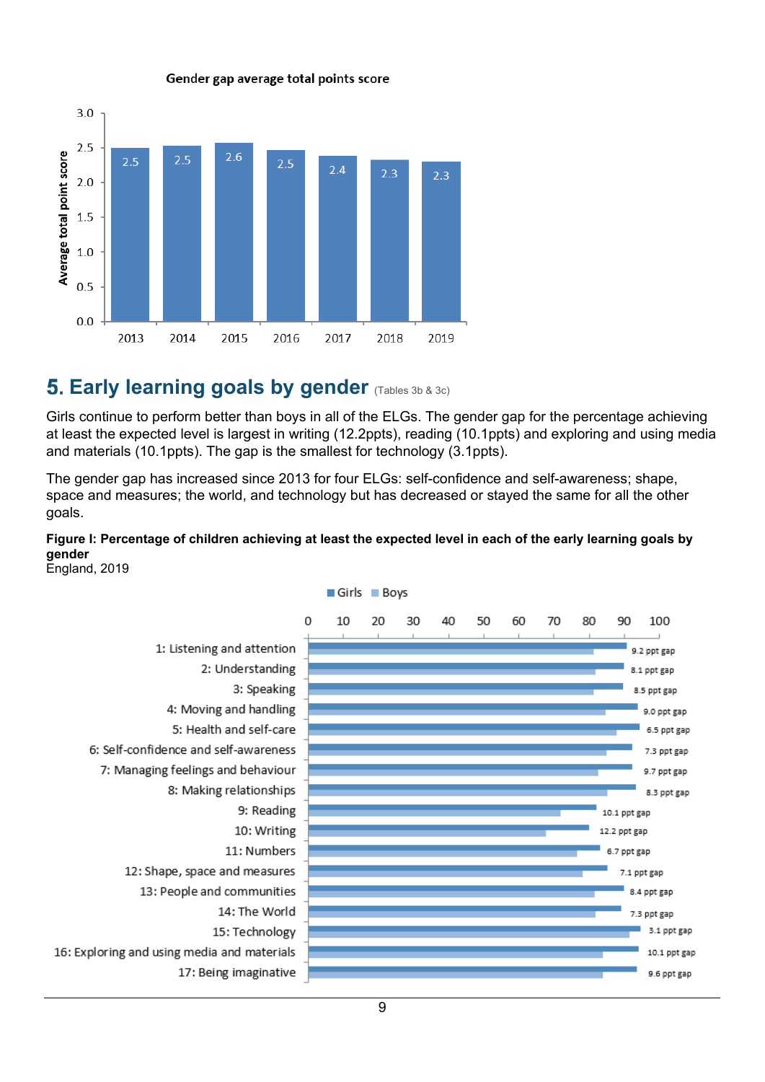

#### Gender gap average total points score

## <span id="page-8-0"></span>**Early learning goals by gender (Tables 3b & 3c)**

 at least the expected level is largest in writing (12.2ppts), reading (10.1ppts) and exploring and using media Girls continue to perform better than boys in all of the ELGs. The gender gap for the percentage achieving and materials (10.1ppts). The gap is the smallest for technology (3.1ppts).

The gender gap has increased since 2013 for four ELGs: self-confidence and self-awareness; shape, space and measures; the world, and technology but has decreased or stayed the same for all the other goals.

### **Figure I: Percentage of children achieving at least the expected level in each of the early learning goals by gender**



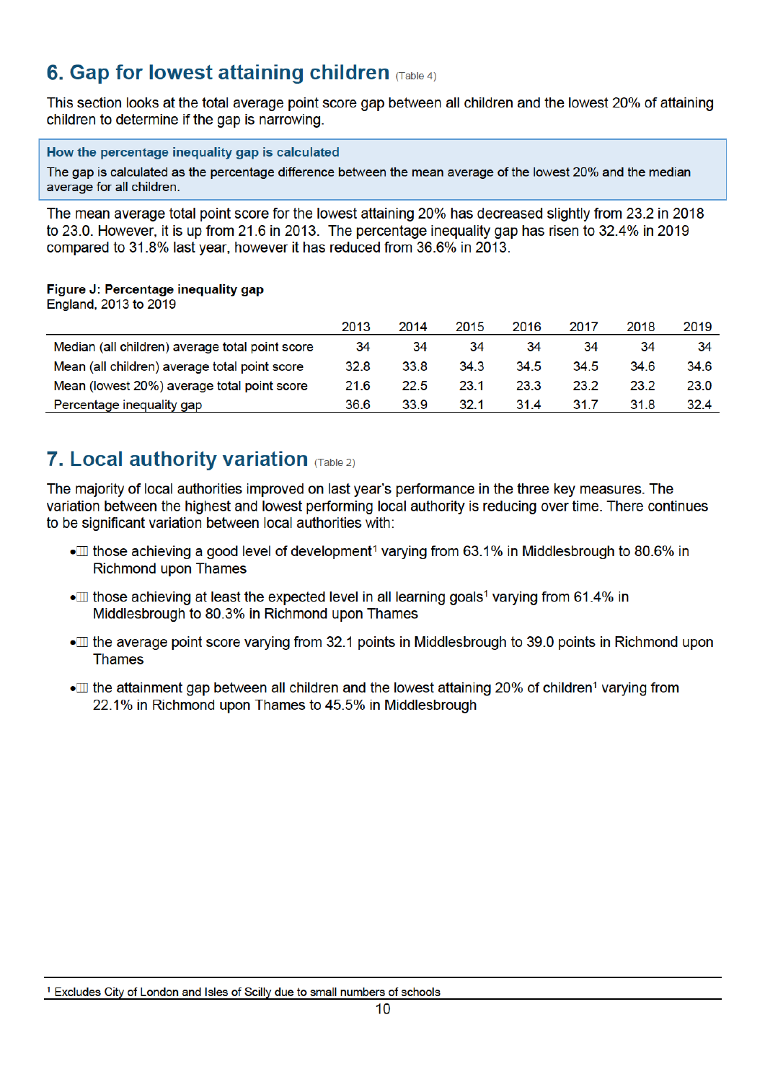## <span id="page-9-0"></span>Gap for lowest attaining children  $(T_{\text{table 4}})$

This section looks at the total average point score gap between all children and the lowest 20% of attaining children to determine if the gap is narrowing.

#### How the percentage inequality gap is calculated

The gap is calculated as the percentage difference between the mean average of the lowest 20% and the mediar average for all children.

to 23.0. However, it is up from 21.6 in 2013. The percentage inequality gap has risen to 32.4% in 2019 compared to 31.8% last year, however it has reduced from 36.6% in 2013. The mean average total point score for the lowest attaining 20% has decreased slightly from 23.2 in 2018

### Figure J: Percentage inequality gap

England, 2013 to 2019

|                                                 | 2013 | 2014 | 2015 | 2016 | 2017 | 2018 | 2019 |
|-------------------------------------------------|------|------|------|------|------|------|------|
| Median (all children) average total point score | 34   | 34   | 34   | 34   | 34   | 34   | 34   |
| Mean (all children) average total point score   | 32.8 | 33.8 | 34.3 | 34.5 | 34.5 | 34.6 | 34.6 |
| Mean (lowest 20%) average total point score     | 21.6 | 22.5 | 23.1 | 23.3 | 23.2 | 23.2 | 23.0 |
| Percentage inequality gap                       | 36.6 | 33.9 | 32.1 | 31.4 | 31.7 | 31.8 | 32.4 |

# <span id="page-9-1"></span>Local authority variation  $\sigma$   $\sigma$  able 2)

variation between the highest and lowest performing local authority is reducing over time. There continues to be significant variation between local authorities with: The majority of local authorities improved on last year's performance in the three key measures. The

- $\Box$  those achieving a good level of development<sup>1</sup> varving from 63.1% in Middlesbrough to 80.6% in Richmond upon Thames
- $\scriptstyle\rm III$  those achieving at least the expected level in all learning goals<sup>1</sup> varving from 61.4% in Middlesbrough to 80.3% in Richmond upon Thames
- $\Box$  the average point score varving from 32.1 points in Middlesbrough to 39.0 points in Richmond upon **Thames**
- $\mathbb m$  the attainment gap between all children and the lowest attaining 20% of children<sup>1</sup> varving from  $2.1\%$  in Richmond upon Thames to 45.5% in Middlesbrough

<span id="page-9-2"></span><sup>&</sup>lt;sup>1</sup> Excludes City of London and Isles of Scilly due to small numbers of schools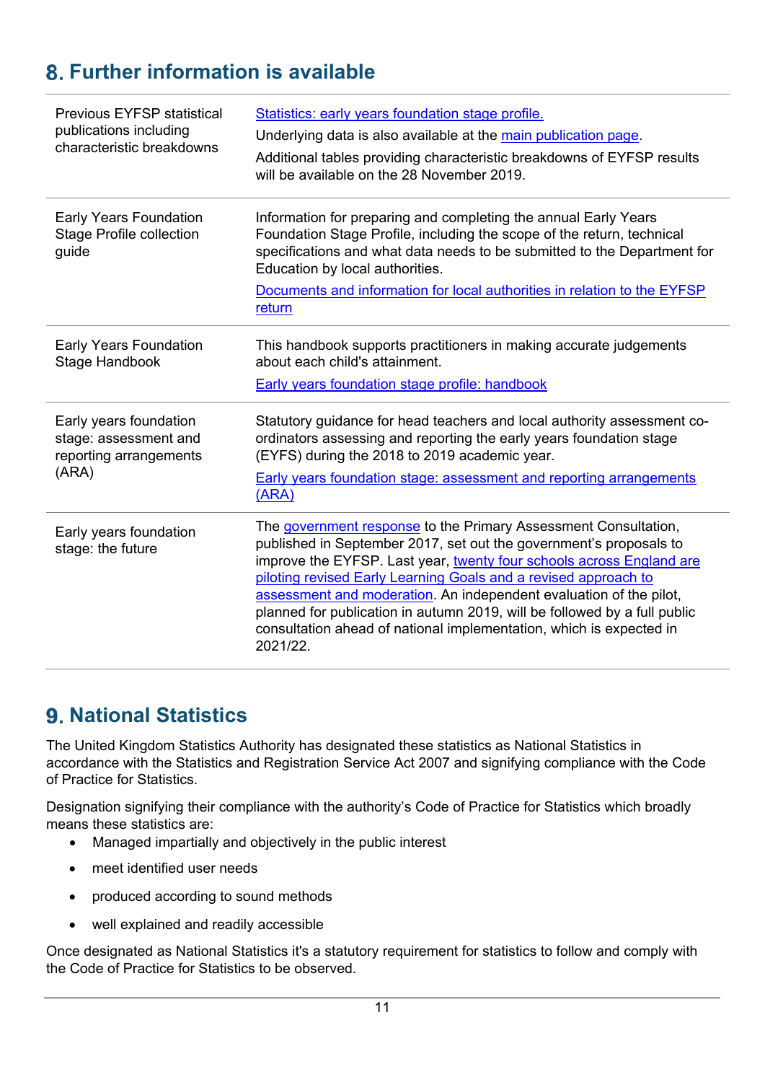# <span id="page-10-0"></span>**Further information is available**

| <b>Previous EYFSP statistical</b><br>publications including<br>characteristic breakdowns | Statistics: early years foundation stage profile.<br>Underlying data is also available at the main publication page.<br>Additional tables providing characteristic breakdowns of EYFSP results<br>will be available on the 28 November 2019.                                                                                                                                                                                                                                                                           |
|------------------------------------------------------------------------------------------|------------------------------------------------------------------------------------------------------------------------------------------------------------------------------------------------------------------------------------------------------------------------------------------------------------------------------------------------------------------------------------------------------------------------------------------------------------------------------------------------------------------------|
| <b>Early Years Foundation</b><br><b>Stage Profile collection</b><br>guide                | Information for preparing and completing the annual Early Years<br>Foundation Stage Profile, including the scope of the return, technical<br>specifications and what data needs to be submitted to the Department for<br>Education by local authorities.<br>Documents and information for local authorities in relation to the EYFSP<br>return                                                                                                                                                                         |
| <b>Early Years Foundation</b><br>Stage Handbook                                          | This handbook supports practitioners in making accurate judgements<br>about each child's attainment.<br><b>Early years foundation stage profile: handbook</b>                                                                                                                                                                                                                                                                                                                                                          |
| Early years foundation<br>stage: assessment and<br>reporting arrangements<br>(ARA)       | Statutory guidance for head teachers and local authority assessment co-<br>ordinators assessing and reporting the early years foundation stage<br>(EYFS) during the 2018 to 2019 academic year.<br><b>Early years foundation stage: assessment and reporting arrangements</b><br>(ARA)                                                                                                                                                                                                                                 |
| Early years foundation<br>stage: the future                                              | The government response to the Primary Assessment Consultation,<br>published in September 2017, set out the government's proposals to<br>improve the EYFSP. Last year, twenty four schools across England are<br>piloting revised Early Learning Goals and a revised approach to<br>assessment and moderation. An independent evaluation of the pilot,<br>planned for publication in autumn 2019, will be followed by a full public<br>consultation ahead of national implementation, which is expected in<br>2021/22. |

## <span id="page-10-1"></span>**9. National Statistics**

The United Kingdom Statistics Authority has designated these statistics as National Statistics in accordance with the Statistics and Registration Service Act 2007 and signifying compliance with the Code of Practice for Statistics.

 means these statistics are: Designation signifying their compliance with the authority's Code of Practice for Statistics which broadly

- Managed impartially and objectively in the public interest
- meet identified user needs
- produced according to sound methods
- well explained and readily accessible

Once designated as National Statistics it's a statutory requirement for statistics to follow and comply with the Code of Practice for Statistics to be observed.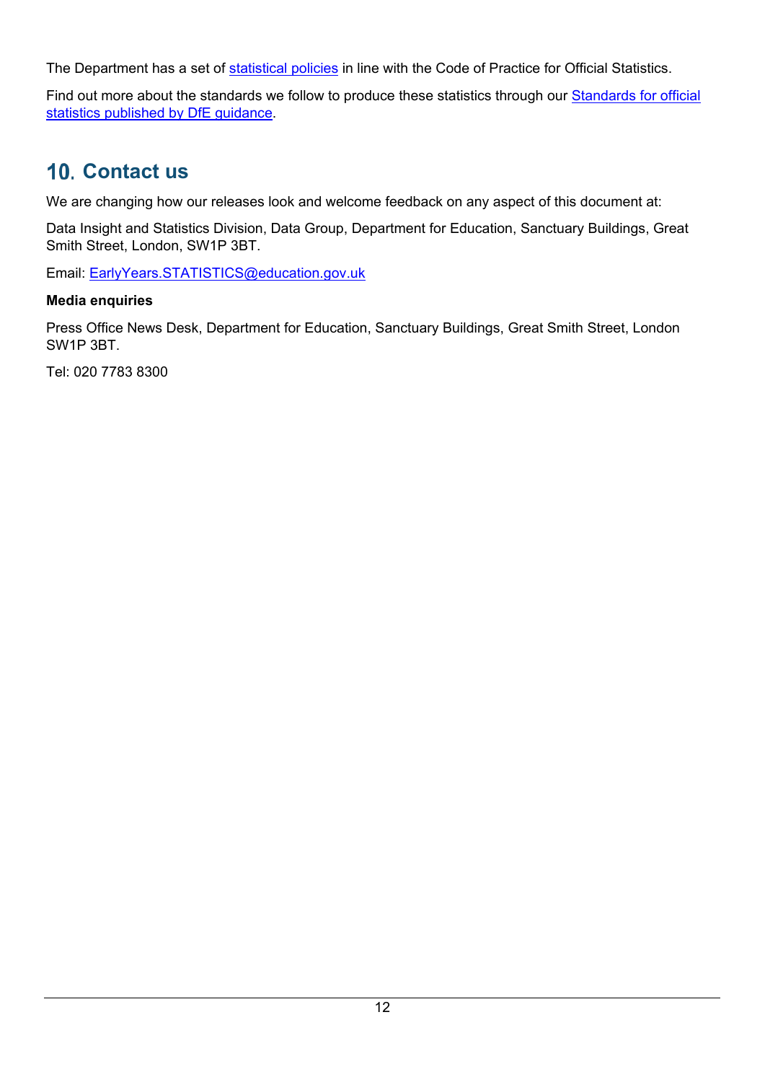The Department has a set of [statistical policies](https://www.gov.uk/government/publications/standards-for-official-statistics-published-by-the-department-for-education) in line with the Code of Practice for Official Statistics.

Find out more about the standards we follow to produce these statistics through our Standards for official [statistics published by DfE guidance.](https://www.gov.uk/government/publications/standards-for-official-statistics-published-by-the-department-for-education)

# <span id="page-11-0"></span>**10. Contact us**

We are changing how our releases look and welcome feedback on any aspect of this document at:

Data Insight and Statistics Division, Data Group, Department for Education, Sanctuary Buildings, Great Smith Street, London, SW1P 3BT.

Email: [EarlyYears.STATISTICS@education.gov.uk](mailto:EarlyYears.STATISTICS@education.gov.uk) 

## **Media enquiries**

Press Office News Desk, Department for Education, Sanctuary Buildings, Great Smith Street, London SW1P 3BT.

Tel: 020 7783 8300